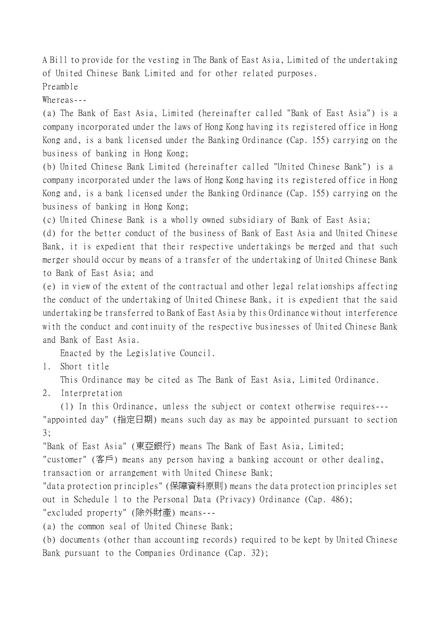A Bill to provide for the vesting in The Bank of East Asia, Limited of the undertaking of United Chinese Bank Limited and for other related purposes.

Preamble

Whereas---

(a) The Bank of East Asia, Limited (hereinafter called "Bank of East Asia") is a company incorporated under the laws of Hong Kong having its registered office in Hong Kong and, is a bank licensed under the Banking Ordinance (Cap. 155) carrying on the business of banking in Hong Kong;

(b) United Chinese Bank Limited (hereinafter called "United Chinese Bank") is a company incorporated under the laws of Hong Kong having its registered office in Hong Kong and, is a bank licensed under the Banking Ordinance (Cap. 155) carrying on the business of banking in Hong Kong;

(c) United Chinese Bank is a wholly owned subsidiary of Bank of East Asia;

(d) for the better conduct of the business of Bank of East Asia and United Chinese Bank, it is expedient that their respective undertakings be merged and that such merger should occur by means of a transfer of the undertaking of United Chinese Bank to Bank of East Asia; and

(e) in view of the extent of the contractual and other legal relationships affecting the conduct of the undertaking of United Chinese Bank, it is expedient that the said undertaking be transferred to Bank of East Asia by this Ordinance without interference with the conduct and continuity of the respective businesses of United Chinese Bank and Bank of East Asia.

Enacted by the Legislative Council.

1. Short title

This Ordinance may be cited as The Bank of East Asia, Limited Ordinance.

2. Interpretation

(1) In this Ordinance, unless the subject or context otherwise requires--- "appointed day" (指定日期) means such day as may be appointed pursuant to section

3;

"Bank of East Asia" (東亞銀行) means The Bank of East Asia, Limited;

"customer" (客戶) means any person having a banking account or other dealing, transaction or arrangement with United Chinese Bank;

"data protection principles" (保障資料原則) means the data protection principles set out in Schedule 1 to the Personal Data (Privacy) Ordinance (Cap. 486); "excluded property" (除外財產) means---

(a) the common seal of United Chinese Bank;

(b) documents (other than accounting records) required to be kept by United Chinese Bank pursuant to the Companies Ordinance (Cap. 32);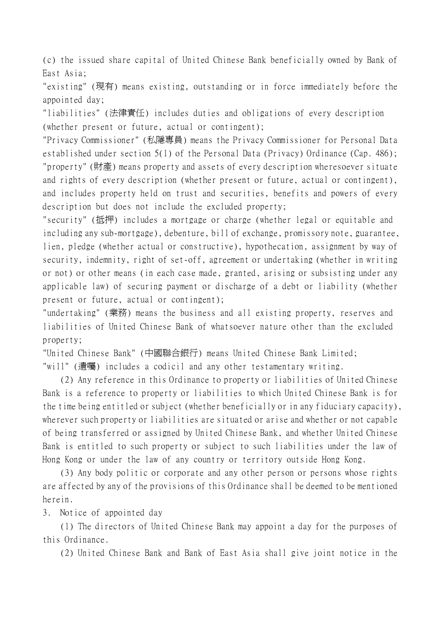(c) the issued share capital of United Chinese Bank beneficially owned by Bank of East Asia;

"existing" (現有) means existing, outstanding or in force immediately before the appointed day;

"liabilities" (法律責任) includes duties and obligations of every description (whether present or future, actual or contingent);

"Privacy Commissioner" (私隱專員) means the Privacy Commissioner for Personal Data established under section 5(1) of the Personal Data (Privacy) Ordinance (Cap. 486); "property" (財產) means property and assets of every description wheresoever situate and rights of every description (whether present or future, actual or contingent), and includes property held on trust and securities, benefits and powers of every description but does not include the excluded property;

"security" (抵押) includes a mortgage or charge (whether legal or equitable and including any sub-mortgage), debenture, bill of exchange, promissory note, guarantee, lien, pledge (whether actual or constructive), hypothecation, assignment by way of security, indemnity, right of set-off, agreement or undertaking (whether in writing or not) or other means (in each case made, granted, arising or subsisting under any applicable law) of securing payment or discharge of a debt or liability (whether present or future, actual or contingent);

"undertaking" (業務) means the business and all existing property, reserves and liabilities of United Chinese Bank of whatsoever nature other than the excluded property;

"United Chinese Bank" (中國聯合銀行) means United Chinese Bank Limited;

"will" (遺囑) includes a codicil and any other testamentary writing.

(2) Any reference in this Ordinance to property or liabilities of United Chinese Bank is a reference to property or liabilities to which United Chinese Bank is for the time being entitled or subject (whether beneficially or in any fiduciary capacity), wherever such property or liabilities are situated or arise and whether or not capable of being transferred or assigned by United Chinese Bank, and whether United Chinese Bank is entitled to such property or subject to such liabilities under the law of Hong Kong or under the law of any country or territory outside Hong Kong.

(3) Any body politic or corporate and any other person or persons whose rights are affected by any of the provisions of this Ordinance shall be deemed to be mentioned herein.

3. Notice of appointed day

(1) The directors of United Chinese Bank may appoint a day for the purposes of this Ordinance.

(2) United Chinese Bank and Bank of East Asia shall give joint notice in the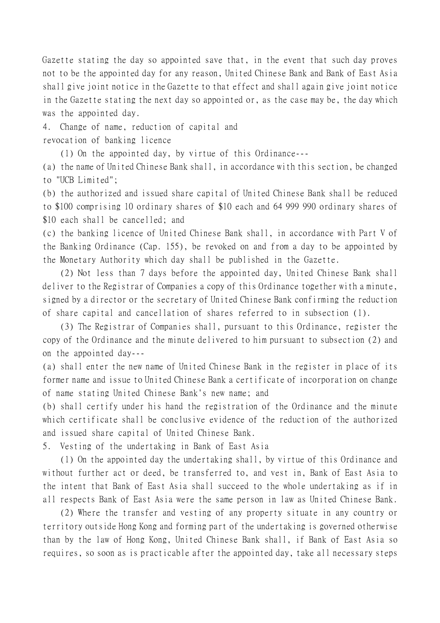Gazette stating the day so appointed save that, in the event that such day proves not to be the appointed day for any reason, United Chinese Bank and Bank of East Asia shall give joint notice in the Gazette to that effect and shall again give joint notice in the Gazette stating the next day so appointed or, as the case may be, the day which was the appointed day.

4. Change of name, reduction of capital and revocation of banking licence

(1) On the appointed day, by virtue of this Ordinance---

(a) the name of United Chinese Bank shall, in accordance with this section, be changed to "UCB Limited";

(b) the authorized and issued share capital of United Chinese Bank shall be reduced to \$100 comprising 10 ordinary shares of \$10 each and 64 999 990 ordinary shares of \$10 each shall be cancelled; and

(c) the banking licence of United Chinese Bank shall, in accordance with Part V of the Banking Ordinance (Cap. 155), be revoked on and from a day to be appointed by the Monetary Authority which day shall be published in the Gazette.

(2) Not less than 7 days before the appointed day, United Chinese Bank shall deliver to the Registrar of Companies a copy of this Ordinance together with a minute, signed by a director or the secretary of United Chinese Bank confirming the reduction of share capital and cancellation of shares referred to in subsection (1).

(3) The Registrar of Companies shall, pursuant to this Ordinance, register the copy of the Ordinance and the minute delivered to him pursuant to subsection (2) and on the appointed day---

(a) shall enter the new name of United Chinese Bank in the register in place of its former name and issue to United Chinese Bank a certificate of incorporation on change of name stating United Chinese Bank's new name; and

(b) shall certify under his hand the registration of the Ordinance and the minute which certificate shall be conclusive evidence of the reduction of the authorized and issued share capital of United Chinese Bank.

5. Vesting of the undertaking in Bank of East Asia

(1) On the appointed day the undertaking shall, by virtue of this Ordinance and without further act or deed, be transferred to, and vest in, Bank of East Asia to the intent that Bank of East Asia shall succeed to the whole undertaking as if in all respects Bank of East Asia were the same person in law as United Chinese Bank.

(2) Where the transfer and vesting of any property situate in any country or territory outside Hong Kong and forming part of the undertaking is governed otherwise than by the law of Hong Kong, United Chinese Bank shall, if Bank of East Asia so requires, so soon as is practicable after the appointed day, take all necessary steps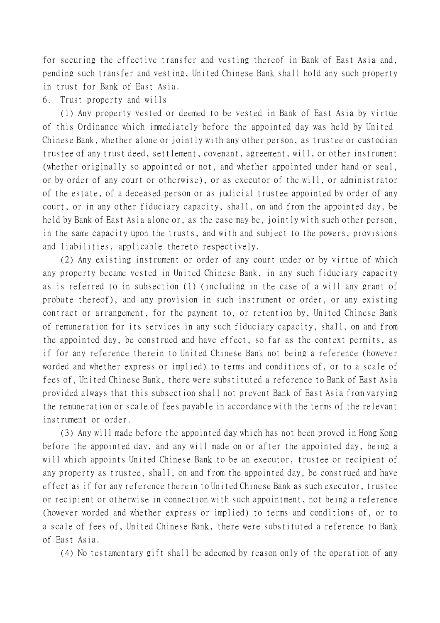for securing the effective transfer and vesting thereof in Bank of East Asia and, pending such transfer and vesting, United Chinese Bank shall hold any such property in trust for Bank of East Asia.

## 6. Trust property and wills

(1) Any property vested or deemed to be vested in Bank of East Asia by virtue of this Ordinance which immediately before the appointed day was held by United Chinese Bank, whether alone or jointly with any other person, as trustee or custodian trustee of any trust deed, settlement, covenant, agreement, will, or other instrument (whether originally so appointed or not, and whether appointed under hand or seal, or by order of any court or otherwise), or as executor of the will, or administrator of the estate, of a deceased person or as judicial trustee appointed by order of any court, or in any other fiduciary capacity, shall, on and from the appointed day, be held by Bank of East Asia alone or, as the case may be, jointly with such other person, in the same capacity upon the trusts, and with and subject to the powers, provisions and liabilities, applicable thereto respectively.

(2) Any existing instrument or order of any court under or by virtue of which any property became vested in United Chinese Bank, in any such fiduciary capacity as is referred to in subsection (1) (including in the case of a will any grant of probate thereof), and any provision in such instrument or order, or any existing contract or arrangement, for the payment to, or retention by, United Chinese Bank of remuneration for its services in any such fiduciary capacity, shall, on and from the appointed day, be construed and have effect, so far as the context permits, as if for any reference therein to United Chinese Bank not being a reference (however worded and whether express or implied) to terms and conditions of, or to a scale of fees of, United Chinese Bank, there were substituted a reference to Bank of East Asia provided always that this subsection shall not prevent Bank of East Asia from varying the remuneration or scale of fees payable in accordance with the terms of the relevant instrument or order.

(3) Any will made before the appointed day which has not been proved in Hong Kong before the appointed day, and any will made on or after the appointed day, being a will which appoints United Chinese Bank to be an executor, trustee or recipient of any property as trustee, shall, on and from the appointed day, be construed and have effect as if for any reference therein to United Chinese Bank as such executor, trustee or recipient or otherwise in connection with such appointment, not being a reference (however worded and whether express or implied) to terms and conditions of, or to a scale of fees of, United Chinese Bank, there were substituted a reference to Bank of East Asia.

(4) No testamentary gift shall be adeemed by reason only of the operation of any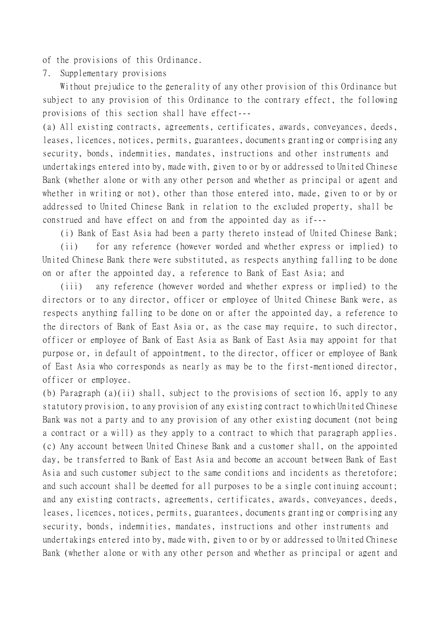of the provisions of this Ordinance.

7. Supplementary provisions

Without prejudice to the generality of any other provision of this Ordinance but subject to any provision of this Ordinance to the contrary effect, the following provisions of this section shall have effect---

(a) All existing contracts, agreements, certificates, awards, conveyances, deeds, leases, licences, notices, permits, guarantees, documents granting or comprising any security, bonds, indemnities, mandates, instructions and other instruments and undertakings entered into by, made with, given to or by or addressed to United Chinese Bank (whether alone or with any other person and whether as principal or agent and whether in writing or not), other than those entered into, made, given to or by or addressed to United Chinese Bank in relation to the excluded property, shall be construed and have effect on and from the appointed day as if---

(i) Bank of East Asia had been a party thereto instead of United Chinese Bank;

(ii) for any reference (however worded and whether express or implied) to United Chinese Bank there were substituted, as respects anything falling to be done on or after the appointed day, a reference to Bank of East Asia; and

(iii) any reference (however worded and whether express or implied) to the directors or to any director, officer or employee of United Chinese Bank were, as respects anything falling to be done on or after the appointed day, a reference to the directors of Bank of East Asia or, as the case may require, to such director, officer or employee of Bank of East Asia as Bank of East Asia may appoint for that purpose or, in default of appointment, to the director, officer or employee of Bank of East Asia who corresponds as nearly as may be to the first-mentioned director, officer or employee.

(b) Paragraph (a)(ii) shall, subject to the provisions of section 16, apply to any statutory provision, to any provision of any existing contract to which United Chinese Bank was not a party and to any provision of any other existing document (not being a contract or a will) as they apply to a contract to which that paragraph applies. (c) Any account between United Chinese Bank and a customer shall, on the appointed day, be transferred to Bank of East Asia and become an account between Bank of East Asia and such customer subject to the same conditions and incidents as theretofore; and such account shall be deemed for all purposes to be a single continuing account; and any existing contracts, agreements, certificates, awards, conveyances, deeds, leases, licences, notices, permits, guarantees, documents granting or comprising any security, bonds, indemnities, mandates, instructions and other instruments and undertakings entered into by, made with, given to or by or addressed to United Chinese Bank (whether alone or with any other person and whether as principal or agent and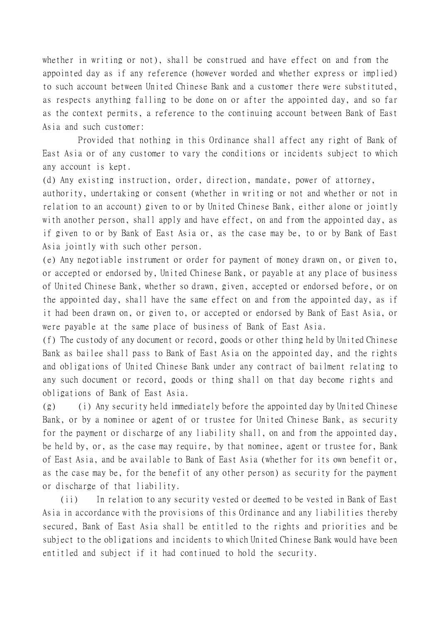whether in writing or not), shall be construed and have effect on and from the appointed day as if any reference (however worded and whether express or implied) to such account between United Chinese Bank and a customer there were substituted, as respects anything falling to be done on or after the appointed day, and so far as the context permits, a reference to the continuing account between Bank of East Asia and such customer:

Provided that nothing in this Ordinance shall affect any right of Bank of East Asia or of any customer to vary the conditions or incidents subject to which any account is kept.

(d) Any existing instruction, order, direction, mandate, power of attorney, authority, undertaking or consent (whether in writing or not and whether or not in relation to an account) given to or by United Chinese Bank, either alone or jointly with another person, shall apply and have effect, on and from the appointed day, as if given to or by Bank of East Asia or, as the case may be, to or by Bank of East Asia jointly with such other person.

(e) Any negotiable instrument or order for payment of money drawn on, or given to, or accepted or endorsed by, United Chinese Bank, or payable at any place of business of United Chinese Bank, whether so drawn, given, accepted or endorsed before, or on the appointed day, shall have the same effect on and from the appointed day, as if it had been drawn on, or given to, or accepted or endorsed by Bank of East Asia, or were payable at the same place of business of Bank of East Asia.

(f) The custody of any document or record, goods or other thing held by United Chinese Bank as bailee shall pass to Bank of East Asia on the appointed day, and the rights and obligations of United Chinese Bank under any contract of bailment relating to any such document or record, goods or thing shall on that day become rights and obligations of Bank of East Asia.

(g) (i) Any security held immediately before the appointed day by United Chinese Bank, or by a nominee or agent of or trustee for United Chinese Bank, as security for the payment or discharge of any liability shall, on and from the appointed day, be held by, or, as the case may require, by that nominee, agent or trustee for, Bank of East Asia, and be available to Bank of East Asia (whether for its own benefit or, as the case may be, for the benefit of any other person) as security for the payment or discharge of that liability.

(ii) In relation to any security vested or deemed to be vested in Bank of East Asia in accordance with the provisions of this Ordinance and any liabilities thereby secured, Bank of East Asia shall be entitled to the rights and priorities and be subject to the obligations and incidents to which United Chinese Bank would have been entitled and subject if it had continued to hold the security.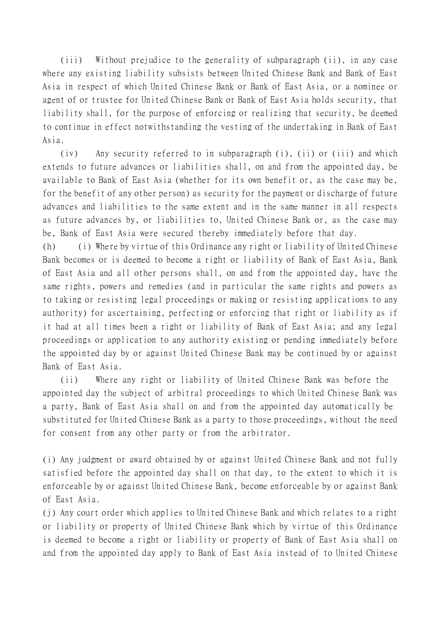(iii) Without prejudice to the generality of subparagraph (ii), in any case where any existing liability subsists between United Chinese Bank and Bank of East Asia in respect of which United Chinese Bank or Bank of East Asia, or a nominee or agent of or trustee for United Chinese Bank or Bank of East Asia holds security, that liability shall, for the purpose of enforcing or realizing that security, be deemed to continue in effect notwithstanding the vesting of the undertaking in Bank of East Asia.

(iv) Any security referred to in subparagraph (i), (ii) or (iii) and which extends to future advances or liabilities shall, on and from the appointed day, be available to Bank of East Asia (whether for its own benefit or, as the case may be, for the benefit of any other person) as security for the payment or discharge of future advances and liabilities to the same extent and in the same manner in all respects as future advances by, or liabilities to, United Chinese Bank or, as the case may be, Bank of East Asia were secured thereby immediately before that day.

(h) (i) Where by virtue of this Ordinance any right or liability of United Chinese Bank becomes or is deemed to become a right or liability of Bank of East Asia, Bank of East Asia and all other persons shall, on and from the appointed day, have the same rights, powers and remedies (and in particular the same rights and powers as to taking or resisting legal proceedings or making or resisting applications to any authority) for ascertaining, perfecting or enforcing that right or liability as if it had at all times been a right or liability of Bank of East Asia; and any legal proceedings or application to any authority existing or pending immediately before the appointed day by or against United Chinese Bank may be continued by or against Bank of East Asia.

(ii) Where any right or liability of United Chinese Bank was before the appointed day the subject of arbitral proceedings to which United Chinese Bank was a party, Bank of East Asia shall on and from the appointed day automatically be substituted for United Chinese Bank as a party to those proceedings, without the need for consent from any other party or from the arbitrator.

(i) Any judgment or award obtained by or against United Chinese Bank and not fully satisfied before the appointed day shall on that day, to the extent to which it is enforceable by or against United Chinese Bank, become enforceable by or against Bank of East Asia.

(j) Any court order which applies to United Chinese Bank and which relates to a right or liability or property of United Chinese Bank which by virtue of this Ordinance is deemed to become a right or liability or property of Bank of East Asia shall on and from the appointed day apply to Bank of East Asia instead of to United Chinese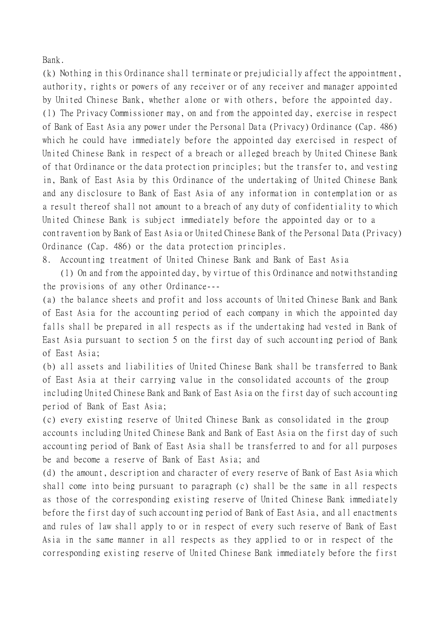Bank.

(k) Nothing in this Ordinance shall terminate or prejudicially affect the appointment, authority, rights or powers of any receiver or of any receiver and manager appointed by United Chinese Bank, whether alone or with others, before the appointed day. (l) The Privacy Commissioner may, on and from the appointed day, exercise in respect of Bank of East Asia any power under the Personal Data (Privacy) Ordinance (Cap. 486) which he could have immediately before the appointed day exercised in respect of United Chinese Bank in respect of a breach or alleged breach by United Chinese Bank of that Ordinance or the data protection principles; but the transfer to, and vesting in, Bank of East Asia by this Ordinance of the undertaking of United Chinese Bank and any disclosure to Bank of East Asia of any information in contemplation or as a result thereof shall not amount to a breach of any duty of confidentiality to which United Chinese Bank is subject immediately before the appointed day or to a contravention by Bank of East Asia or United Chinese Bank of the Personal Data (Privacy) Ordinance (Cap. 486) or the data protection principles.

8. Accounting treatment of United Chinese Bank and Bank of East Asia

(1) On and from the appointed day, by virtue of this Ordinance and notwithstanding the provisions of any other Ordinance---

(a) the balance sheets and profit and loss accounts of United Chinese Bank and Bank of East Asia for the accounting period of each company in which the appointed day falls shall be prepared in all respects as if the undertaking had vested in Bank of East Asia pursuant to section 5 on the first day of such accounting period of Bank of East Asia;

(b) all assets and liabilities of United Chinese Bank shall be transferred to Bank of East Asia at their carrying value in the consolidated accounts of the group including United Chinese Bank and Bank of East Asia on the first day of such accounting period of Bank of East Asia;

(c) every existing reserve of United Chinese Bank as consolidated in the group accounts including United Chinese Bank and Bank of East Asia on the first day of such accounting period of Bank of East Asia shall be transferred to and for all purposes be and become a reserve of Bank of East Asia; and

(d) the amount, description and character of every reserve of Bank of East Asia which shall come into being pursuant to paragraph (c) shall be the same in all respects as those of the corresponding existing reserve of United Chinese Bank immediately before the first day of such accounting period of Bank of East Asia, and all enactments and rules of law shall apply to or in respect of every such reserve of Bank of East Asia in the same manner in all respects as they applied to or in respect of the corresponding existing reserve of United Chinese Bank immediately before the first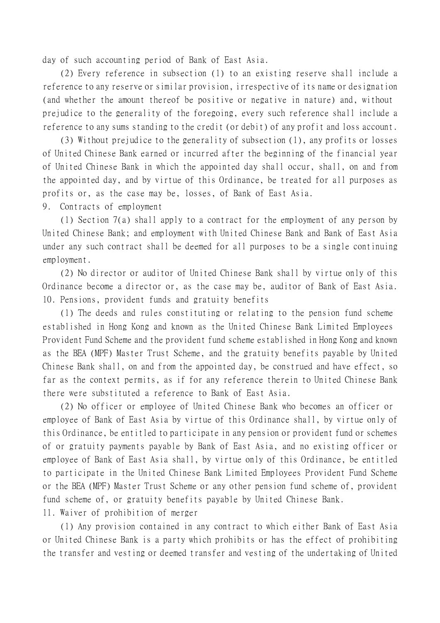day of such accounting period of Bank of East Asia.

(2) Every reference in subsection (1) to an existing reserve shall include a reference to any reserve or similar provision, irrespective of its name or designation (and whether the amount thereof be positive or negative in nature) and, without prejudice to the generality of the foregoing, every such reference shall include a reference to any sums standing to the credit (or debit) of any profit and loss account.

(3) Without prejudice to the generality of subsection (1), any profits or losses of United Chinese Bank earned or incurred after the beginning of the financial year of United Chinese Bank in which the appointed day shall occur, shall, on and from the appointed day, and by virtue of this Ordinance, be treated for all purposes as profits or, as the case may be, losses, of Bank of East Asia.

9. Contracts of employment

(1) Section 7(a) shall apply to a contract for the employment of any person by United Chinese Bank; and employment with United Chinese Bank and Bank of East Asia under any such contract shall be deemed for all purposes to be a single continuing employment.

(2) No director or auditor of United Chinese Bank shall by virtue only of this Ordinance become a director or, as the case may be, auditor of Bank of East Asia. 10. Pensions, provident funds and gratuity benefits

(1) The deeds and rules constituting or relating to the pension fund scheme established in Hong Kong and known as the United Chinese Bank Limited Employees Provident Fund Scheme and the provident fund scheme established in Hong Kong and known as the BEA (MPF) Master Trust Scheme, and the gratuity benefits payable by United Chinese Bank shall, on and from the appointed day, be construed and have effect, so far as the context permits, as if for any reference therein to United Chinese Bank there were substituted a reference to Bank of East Asia.

(2) No officer or employee of United Chinese Bank who becomes an officer or employee of Bank of East Asia by virtue of this Ordinance shall, by virtue only of this Ordinance, be entitled to participate in any pension or provident fund or schemes of or gratuity payments payable by Bank of East Asia, and no existing officer or employee of Bank of East Asia shall, by virtue only of this Ordinance, be entitled to participate in the United Chinese Bank Limited Employees Provident Fund Scheme or the BEA (MPF) Master Trust Scheme or any other pension fund scheme of, provident fund scheme of, or gratuity benefits payable by United Chinese Bank.

11. Waiver of prohibition of merger

(1) Any provision contained in any contract to which either Bank of East Asia or United Chinese Bank is a party which prohibits or has the effect of prohibiting the transfer and vesting or deemed transfer and vesting of the undertaking of United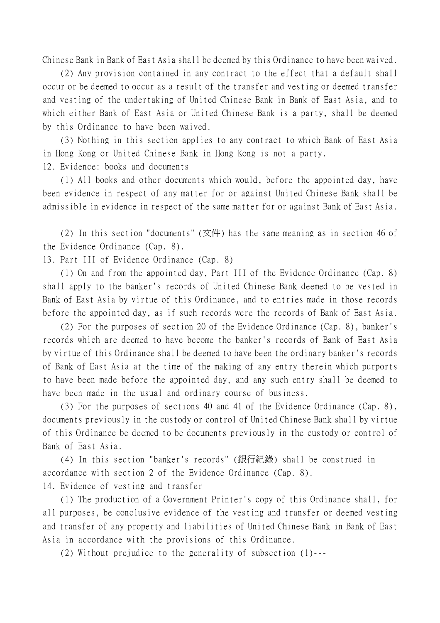Chinese Bank in Bank of East Asia shall be deemed by this Ordinance to have been waived.

(2) Any provision contained in any contract to the effect that a default shall occur or be deemed to occur as a result of the transfer and vesting or deemed transfer and vesting of the undertaking of United Chinese Bank in Bank of East Asia, and to which either Bank of East Asia or United Chinese Bank is a party, shall be deemed by this Ordinance to have been waived.

(3) Nothing in this section applies to any contract to which Bank of East Asia in Hong Kong or United Chinese Bank in Hong Kong is not a party.

12. Evidence: books and documents

(1) All books and other documents which would, before the appointed day, have been evidence in respect of any matter for or against United Chinese Bank shall be admissible in evidence in respect of the same matter for or against Bank of East Asia.

(2) In this section "documents" (文件) has the same meaning as in section 46 of the Evidence Ordinance (Cap. 8).

13. Part III of Evidence Ordinance (Cap. 8)

(1) On and from the appointed day, Part III of the Evidence Ordinance (Cap. 8) shall apply to the banker's records of United Chinese Bank deemed to be vested in Bank of East Asia by virtue of this Ordinance, and to entries made in those records before the appointed day, as if such records were the records of Bank of East Asia.

(2) For the purposes of section 20 of the Evidence Ordinance (Cap. 8), banker's records which are deemed to have become the banker's records of Bank of East Asia by virtue of this Ordinance shall be deemed to have been the ordinary banker's records of Bank of East Asia at the time of the making of any entry therein which purports to have been made before the appointed day, and any such entry shall be deemed to have been made in the usual and ordinary course of business.

(3) For the purposes of sections 40 and 41 of the Evidence Ordinance (Cap. 8), documents previously in the custody or control of United Chinese Bank shall by virtue of this Ordinance be deemed to be documents previously in the custody or control of Bank of East Asia.

(4) In this section "banker's records" (銀行紀錄) shall be construed in accordance with section 2 of the Evidence Ordinance (Cap. 8). 14. Evidence of vesting and transfer

(1) The production of a Government Printer's copy of this Ordinance shall, for all purposes, be conclusive evidence of the vesting and transfer or deemed vesting and transfer of any property and liabilities of United Chinese Bank in Bank of East Asia in accordance with the provisions of this Ordinance.

(2) Without prejudice to the generality of subsection (1)---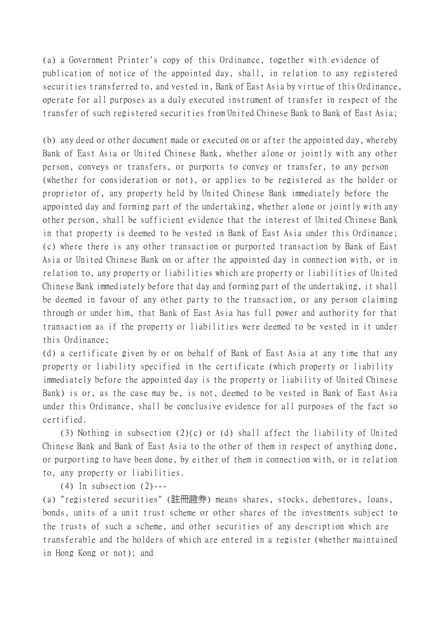(a) a Government Printer's copy of this Ordinance, together with evidence of publication of notice of the appointed day, shall, in relation to any registered securities transferred to, and vested in, Bank of East Asia by virtue of this Ordinance, operate for all purposes as a duly executed instrument of transfer in respect of the transfer of such registered securities from United Chinese Bank to Bank of East Asia;

(b) any deed or other document made or executed on or after the appointed day, whereby Bank of East Asia or United Chinese Bank, whether alone or jointly with any other person, conveys or transfers, or purports to convey or transfer, to any person (whether for consideration or not), or applies to be registered as the holder or proprietor of, any property held by United Chinese Bank immediately before the appointed day and forming part of the undertaking, whether alone or jointly with any other person, shall be sufficient evidence that the interest of United Chinese Bank in that property is deemed to be vested in Bank of East Asia under this Ordinance; (c) where there is any other transaction or purported transaction by Bank of East Asia or United Chinese Bank on or after the appointed day in connection with, or in relation to, any property or liabilities which are property or liabilities of United Chinese Bank immediately before that day and forming part of the undertaking, it shall be deemed in favour of any other party to the transaction, or any person claiming through or under him, that Bank of East Asia has full power and authority for that transaction as if the property or liabilities were deemed to be vested in it under this Ordinance;

(d) a certificate given by or on behalf of Bank of East Asia at any time that any property or liability specified in the certificate (which property or liability immediately before the appointed day is the property or liability of United Chinese Bank) is or, as the case may be, is not, deemed to be vested in Bank of East Asia under this Ordinance, shall be conclusive evidence for all purposes of the fact so certified.

(3) Nothing in subsection (2)(c) or (d) shall affect the liability of United Chinese Bank and Bank of East Asia to the other of them in respect of anything done, or purporting to have been done, by either of them in connection with, or in relation to, any property or liabilities.

 $(4)$  In subsection  $(2)$ ---

(a) "registered securities" (註冊證券) means shares, stocks, debentures, loans, bonds, units of a unit trust scheme or other shares of the investments subject to the trusts of such a scheme, and other securities of any description which are transferable and the holders of which are entered in a register (whether maintained in Hong Kong or not); and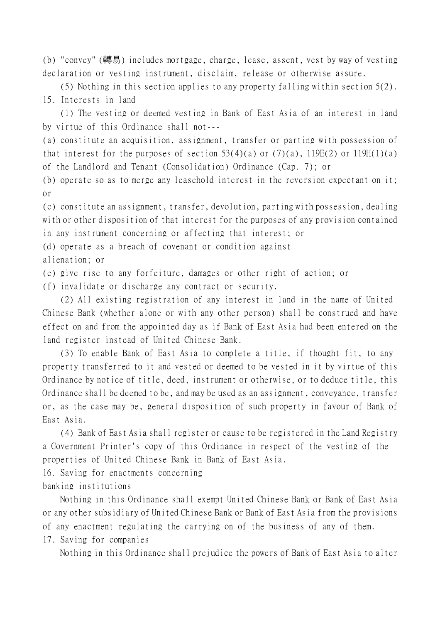(b) "convey" (轉易) includes mortgage, charge, lease, assent, vest by way of vesting declaration or vesting instrument, disclaim, release or otherwise assure.

(5) Nothing in this section applies to any property falling within section 5(2). 15. Interests in land

(1) The vesting or deemed vesting in Bank of East Asia of an interest in land by virtue of this Ordinance shall not---

(a) constitute an acquisition, assignment, transfer or parting with possession of that interest for the purposes of section  $53(4)(a)$  or  $(7)(a)$ ,  $119E(2)$  or  $119H(1)(a)$ of the Landlord and Tenant (Consolidation) Ordinance (Cap. 7); or

(b) operate so as to merge any leasehold interest in the reversion expectant on it; or

(c) constitute an assignment, transfer, devolution, parting with possession, dealing with or other disposition of that interest for the purposes of any provision contained in any instrument concerning or affecting that interest; or

(d) operate as a breach of covenant or condition against

alienation; or

(e) give rise to any forfeiture, damages or other right of action; or

(f) invalidate or discharge any contract or security.

(2) All existing registration of any interest in land in the name of United Chinese Bank (whether alone or with any other person) shall be construed and have effect on and from the appointed day as if Bank of East Asia had been entered on the land register instead of United Chinese Bank.

(3) To enable Bank of East Asia to complete a title, if thought fit, to any property transferred to it and vested or deemed to be vested in it by virtue of this Ordinance by notice of title, deed, instrument or otherwise, or to deduce title, this Ordinance shall be deemed to be, and may be used as an assignment, conveyance, transfer or, as the case may be, general disposition of such property in favour of Bank of East Asia.

(4) Bank of East Asia shall register or cause to be registered in the Land Registry a Government Printer's copy of this Ordinance in respect of the vesting of the properties of United Chinese Bank in Bank of East Asia.

16. Saving for enactments concerning banking institutions

Nothing in this Ordinance shall exempt United Chinese Bank or Bank of East Asia or any other subsidiary of United Chinese Bank or Bank of East Asia from the provisions of any enactment regulating the carrying on of the business of any of them. 17. Saving for companies

Nothing in this Ordinance shall prejudice the powers of Bank of East Asia to alter